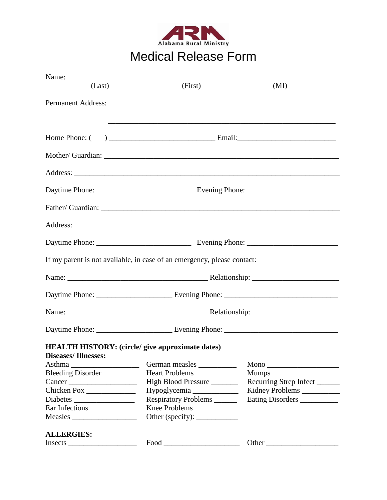

## Medical Release Form

| Name:                                                   |                                                                                   |                        |  |
|---------------------------------------------------------|-----------------------------------------------------------------------------------|------------------------|--|
| (Last)                                                  | (First)                                                                           | (MI)                   |  |
|                                                         |                                                                                   |                        |  |
|                                                         |                                                                                   |                        |  |
|                                                         |                                                                                   |                        |  |
|                                                         | ,我们也不能在这里的时候,我们也不能在这里的时候,我们也不能会在这里的时候,我们也不能会在这里的时候,我们也不能会在这里的时候,我们也不能会在这里的时候,我们也不 |                        |  |
|                                                         |                                                                                   |                        |  |
|                                                         |                                                                                   |                        |  |
|                                                         |                                                                                   |                        |  |
|                                                         |                                                                                   |                        |  |
|                                                         |                                                                                   |                        |  |
|                                                         |                                                                                   |                        |  |
|                                                         |                                                                                   |                        |  |
|                                                         |                                                                                   |                        |  |
|                                                         |                                                                                   |                        |  |
|                                                         |                                                                                   |                        |  |
|                                                         |                                                                                   |                        |  |
|                                                         |                                                                                   |                        |  |
|                                                         |                                                                                   |                        |  |
|                                                         |                                                                                   |                        |  |
|                                                         | If my parent is not available, in case of an emergency, please contact:           |                        |  |
|                                                         |                                                                                   |                        |  |
|                                                         |                                                                                   |                        |  |
|                                                         |                                                                                   |                        |  |
|                                                         |                                                                                   |                        |  |
|                                                         |                                                                                   |                        |  |
|                                                         |                                                                                   |                        |  |
|                                                         |                                                                                   |                        |  |
|                                                         |                                                                                   |                        |  |
| <b>HEALTH HISTORY: (circle/ give approximate dates)</b> |                                                                                   |                        |  |
| <b>Diseases/Illnesses:</b>                              |                                                                                   |                        |  |
|                                                         | German measles                                                                    |                        |  |
| Bleeding Disorder                                       | Heart Problems                                                                    |                        |  |
| Cancer                                                  | High Blood Pressure                                                               | Recurring Strep Infect |  |
|                                                         |                                                                                   | Kidney Problems        |  |
|                                                         | Respiratory Problems                                                              | Eating Disorders       |  |
| Ear Infections                                          | Knee Problems                                                                     |                        |  |
| Measles                                                 |                                                                                   |                        |  |
|                                                         |                                                                                   |                        |  |
| <b>ALLERGIES:</b>                                       |                                                                                   |                        |  |
|                                                         | $\boxed{\text{Food}}{\_\_\_\_\_\_\_}$                                             |                        |  |
|                                                         |                                                                                   |                        |  |